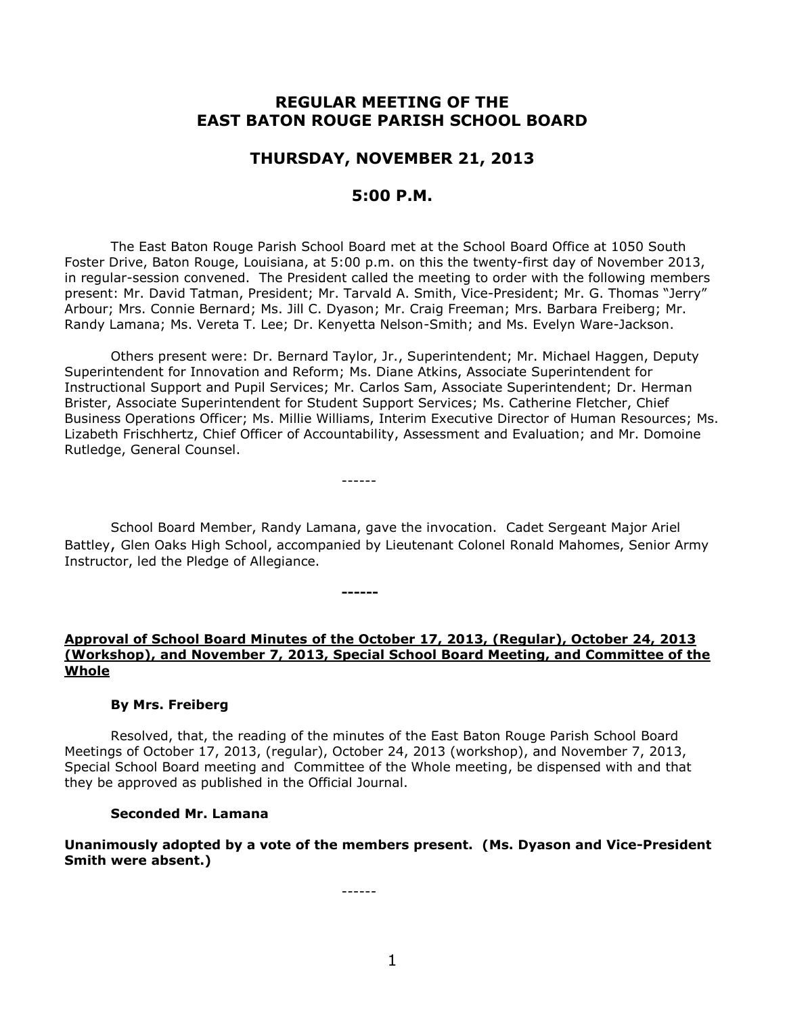# **REGULAR MEETING OF THE EAST BATON ROUGE PARISH SCHOOL BOARD**

## **THURSDAY, NOVEMBER 21, 2013**

# **5:00 P.M.**

The East Baton Rouge Parish School Board met at the School Board Office at 1050 South Foster Drive, Baton Rouge, Louisiana, at 5:00 p.m. on this the twenty-first day of November 2013, in regular-session convened. The President called the meeting to order with the following members present: Mr. David Tatman, President; Mr. Tarvald A. Smith, Vice-President; Mr. G. Thomas "Jerry" Arbour; Mrs. Connie Bernard; Ms. Jill C. Dyason; Mr. Craig Freeman; Mrs. Barbara Freiberg; Mr. Randy Lamana; Ms. Vereta T. Lee; Dr. Kenyetta Nelson-Smith; and Ms. Evelyn Ware-Jackson.

Others present were: Dr. Bernard Taylor, Jr., Superintendent; Mr. Michael Haggen, Deputy Superintendent for Innovation and Reform; Ms. Diane Atkins, Associate Superintendent for Instructional Support and Pupil Services; Mr. Carlos Sam, Associate Superintendent; Dr. Herman Brister, Associate Superintendent for Student Support Services; Ms. Catherine Fletcher, Chief Business Operations Officer; Ms. Millie Williams, Interim Executive Director of Human Resources; Ms. Lizabeth Frischhertz, Chief Officer of Accountability, Assessment and Evaluation; and Mr. Domoine Rutledge, General Counsel.

------

**------**

School Board Member, Randy Lamana, gave the invocation. Cadet Sergeant Major Ariel Battley, Glen Oaks High School, accompanied by Lieutenant Colonel Ronald Mahomes, Senior Army Instructor, led the Pledge of Allegiance.

## **Approval of School Board Minutes of the October 17, 2013, (Regular), October 24, 2013 (Workshop), and November 7, 2013, Special School Board Meeting, and Committee of the Whole**

### **By Mrs. Freiberg**

Resolved, that, the reading of the minutes of the East Baton Rouge Parish School Board Meetings of October 17, 2013, (regular), October 24, 2013 (workshop), and November 7, 2013, Special School Board meeting and Committee of the Whole meeting, be dispensed with and that they be approved as published in the Official Journal.

#### **Seconded Mr. Lamana**

**Unanimously adopted by a vote of the members present. (Ms. Dyason and Vice-President Smith were absent.)**

------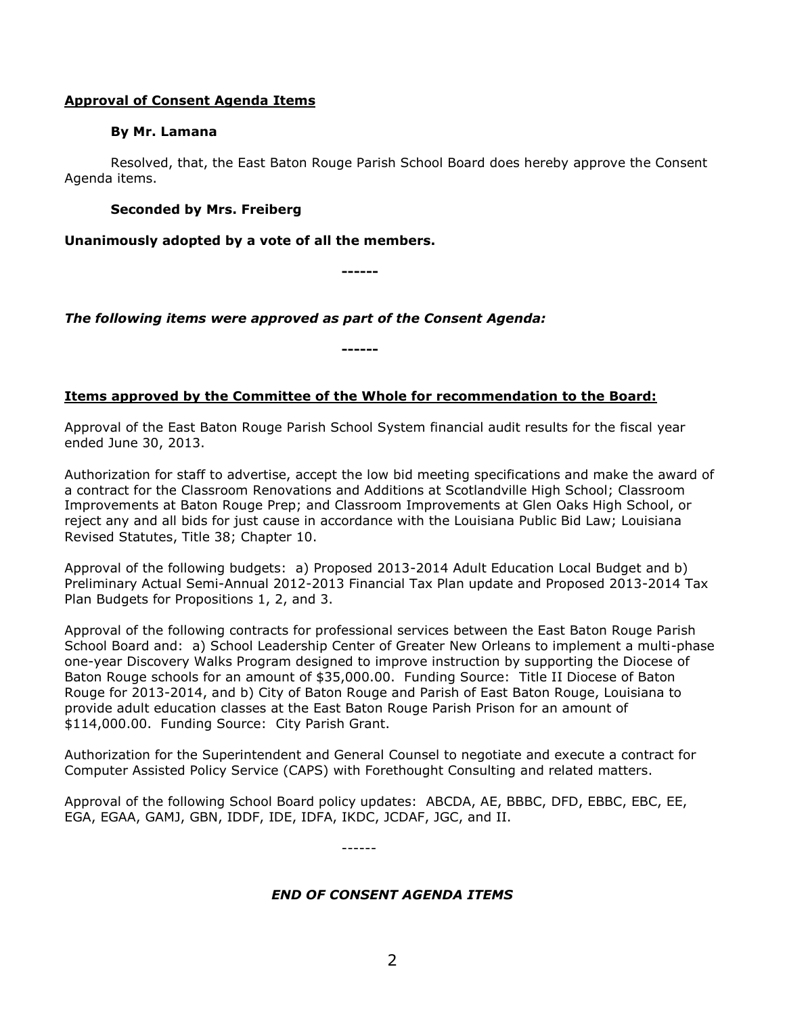## **Approval of Consent Agenda Items**

## **By Mr. Lamana**

Resolved, that, the East Baton Rouge Parish School Board does hereby approve the Consent Agenda items.

## **Seconded by Mrs. Freiberg**

**Unanimously adopted by a vote of all the members.**

**------**

*The following items were approved as part of the Consent Agenda:*

**------**

# **Items approved by the Committee of the Whole for recommendation to the Board:**

Approval of the East Baton Rouge Parish School System financial audit results for the fiscal year ended June 30, 2013.

Authorization for staff to advertise, accept the low bid meeting specifications and make the award of a contract for the Classroom Renovations and Additions at Scotlandville High School; Classroom Improvements at Baton Rouge Prep; and Classroom Improvements at Glen Oaks High School, or reject any and all bids for just cause in accordance with the Louisiana Public Bid Law; Louisiana Revised Statutes, Title 38; Chapter 10.

Approval of the following budgets: a) Proposed 2013-2014 Adult Education Local Budget and b) Preliminary Actual Semi-Annual 2012-2013 Financial Tax Plan update and Proposed 2013-2014 Tax Plan Budgets for Propositions 1, 2, and 3.

Approval of the following contracts for professional services between the East Baton Rouge Parish School Board and: a) School Leadership Center of Greater New Orleans to implement a multi-phase one-year Discovery Walks Program designed to improve instruction by supporting the Diocese of Baton Rouge schools for an amount of \$35,000.00. Funding Source: Title II Diocese of Baton Rouge for 2013-2014, and b) City of Baton Rouge and Parish of East Baton Rouge, Louisiana to provide adult education classes at the East Baton Rouge Parish Prison for an amount of \$114,000.00. Funding Source: City Parish Grant.

Authorization for the Superintendent and General Counsel to negotiate and execute a contract for Computer Assisted Policy Service (CAPS) with Forethought Consulting and related matters.

Approval of the following School Board policy updates: ABCDA, AE, BBBC, DFD, EBBC, EBC, EE, EGA, EGAA, GAMJ, GBN, IDDF, IDE, IDFA, IKDC, JCDAF, JGC, and II.

------

# *END OF CONSENT AGENDA ITEMS*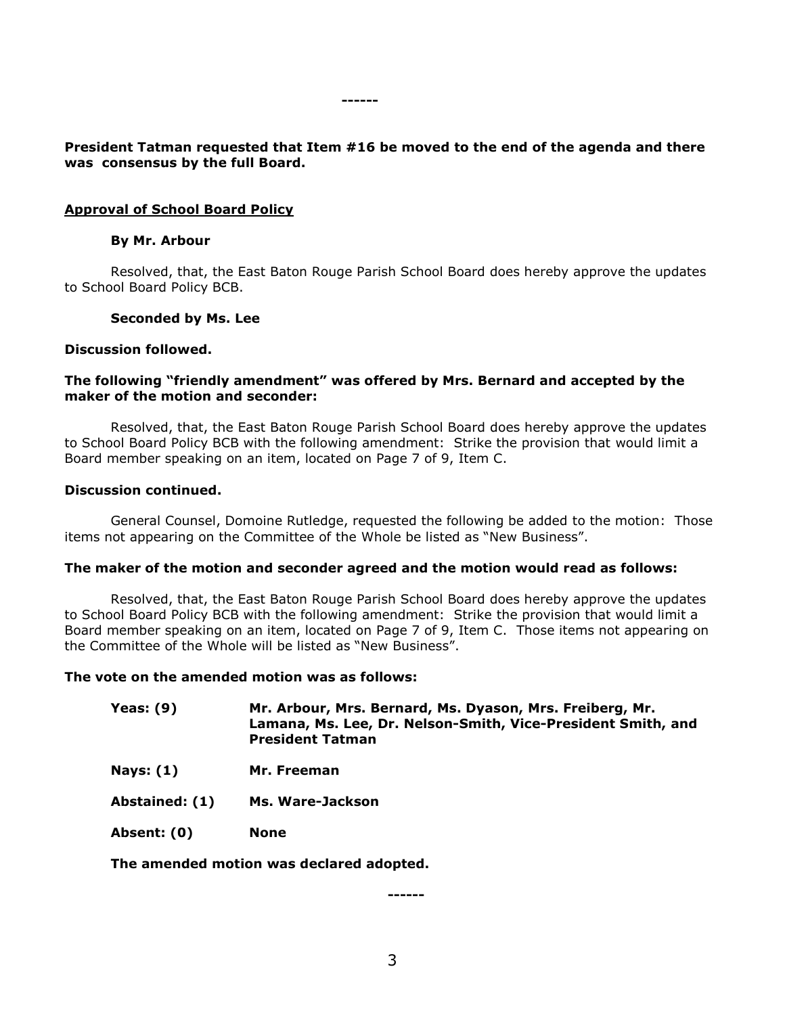## **President Tatman requested that Item #16 be moved to the end of the agenda and there was consensus by the full Board.**

**------**

### **Approval of School Board Policy**

#### **By Mr. Arbour**

Resolved, that, the East Baton Rouge Parish School Board does hereby approve the updates to School Board Policy BCB.

#### **Seconded by Ms. Lee**

#### **Discussion followed.**

### **The following "friendly amendment" was offered by Mrs. Bernard and accepted by the maker of the motion and seconder:**

Resolved, that, the East Baton Rouge Parish School Board does hereby approve the updates to School Board Policy BCB with the following amendment: Strike the provision that would limit a Board member speaking on an item, located on Page 7 of 9, Item C.

#### **Discussion continued.**

General Counsel, Domoine Rutledge, requested the following be added to the motion: Those items not appearing on the Committee of the Whole be listed as "New Business".

#### **The maker of the motion and seconder agreed and the motion would read as follows:**

Resolved, that, the East Baton Rouge Parish School Board does hereby approve the updates to School Board Policy BCB with the following amendment: Strike the provision that would limit a Board member speaking on an item, located on Page 7 of 9, Item C. Those items not appearing on the Committee of the Whole will be listed as "New Business".

### **The vote on the amended motion was as follows:**

- **Yeas: (9) Mr. Arbour, Mrs. Bernard, Ms. Dyason, Mrs. Freiberg, Mr. Lamana, Ms. Lee, Dr. Nelson-Smith, Vice-President Smith, and President Tatman**
- **Nays: (1) Mr. Freeman**
- **Abstained: (1) Ms. Ware-Jackson**
- **Absent: (0) None**

**The amended motion was declared adopted.**

**------**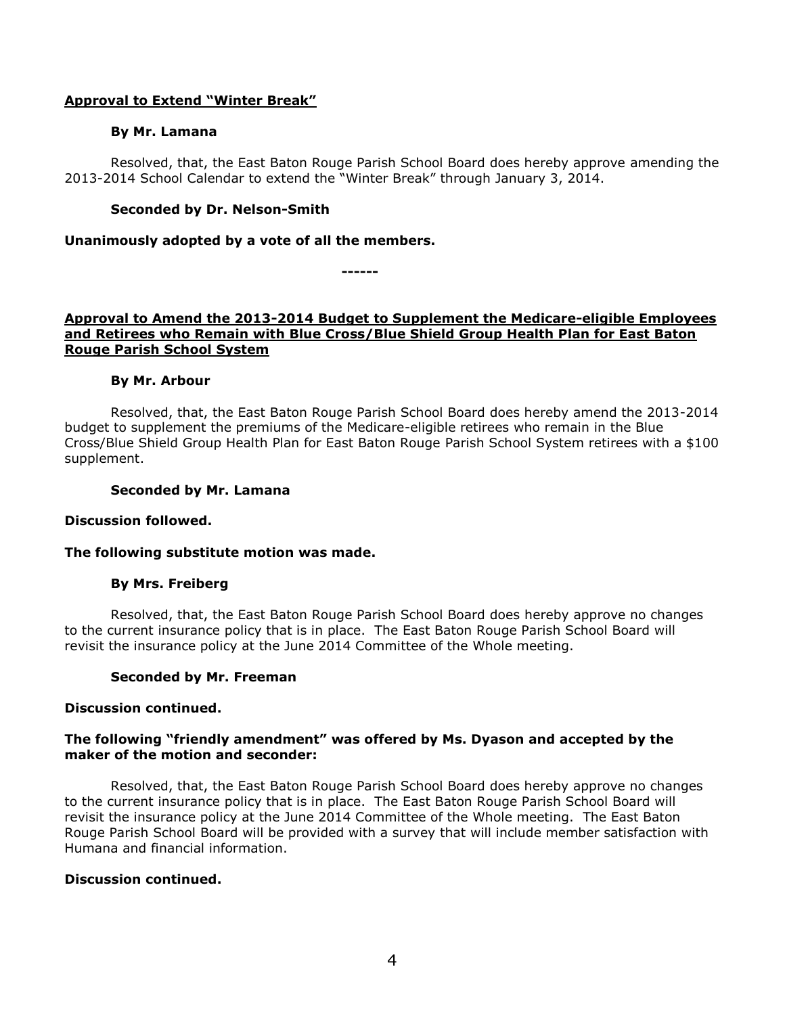## **Approval to Extend "Winter Break"**

## **By Mr. Lamana**

Resolved, that, the East Baton Rouge Parish School Board does hereby approve amending the 2013-2014 School Calendar to extend the "Winter Break" through January 3, 2014.

## **Seconded by Dr. Nelson-Smith**

## **Unanimously adopted by a vote of all the members.**

**------**

## **Approval to Amend the 2013-2014 Budget to Supplement the Medicare-eligible Employees and Retirees who Remain with Blue Cross/Blue Shield Group Health Plan for East Baton Rouge Parish School System**

## **By Mr. Arbour**

Resolved, that, the East Baton Rouge Parish School Board does hereby amend the 2013-2014 budget to supplement the premiums of the Medicare-eligible retirees who remain in the Blue Cross/Blue Shield Group Health Plan for East Baton Rouge Parish School System retirees with a \$100 supplement.

## **Seconded by Mr. Lamana**

## **Discussion followed.**

## **The following substitute motion was made.**

## **By Mrs. Freiberg**

Resolved, that, the East Baton Rouge Parish School Board does hereby approve no changes to the current insurance policy that is in place. The East Baton Rouge Parish School Board will revisit the insurance policy at the June 2014 Committee of the Whole meeting.

# **Seconded by Mr. Freeman**

## **Discussion continued.**

## **The following "friendly amendment" was offered by Ms. Dyason and accepted by the maker of the motion and seconder:**

Resolved, that, the East Baton Rouge Parish School Board does hereby approve no changes to the current insurance policy that is in place. The East Baton Rouge Parish School Board will revisit the insurance policy at the June 2014 Committee of the Whole meeting. The East Baton Rouge Parish School Board will be provided with a survey that will include member satisfaction with Humana and financial information.

## **Discussion continued.**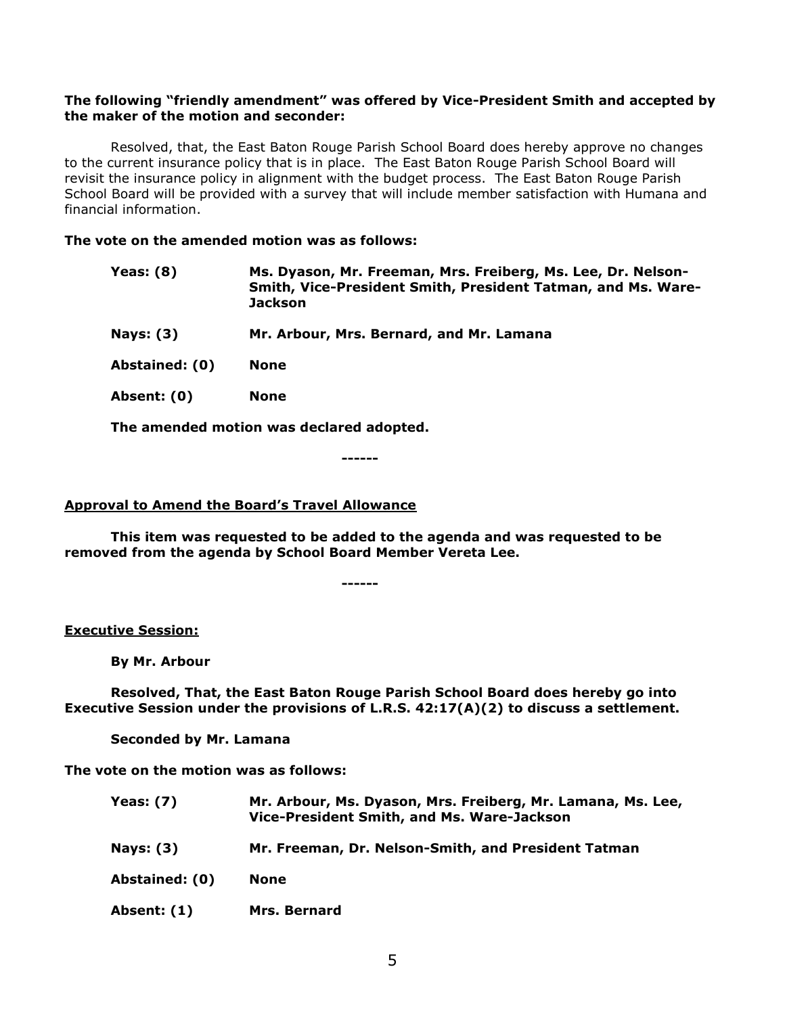## **The following "friendly amendment" was offered by Vice-President Smith and accepted by the maker of the motion and seconder:**

Resolved, that, the East Baton Rouge Parish School Board does hereby approve no changes to the current insurance policy that is in place. The East Baton Rouge Parish School Board will revisit the insurance policy in alignment with the budget process. The East Baton Rouge Parish School Board will be provided with a survey that will include member satisfaction with Humana and financial information.

## **The vote on the amended motion was as follows:**

| Yeas: (8) | Ms. Dyason, Mr. Freeman, Mrs. Freiberg, Ms. Lee, Dr. Nelson- |
|-----------|--------------------------------------------------------------|
|           | Smith, Vice-President Smith, President Tatman, and Ms. Ware- |
|           | <b>Jackson</b>                                               |

**Nays: (3) Mr. Arbour, Mrs. Bernard, and Mr. Lamana**

**Abstained: (0) None**

**Absent: (0) None**

**The amended motion was declared adopted.**

**------**

## **Approval to Amend the Board's Travel Allowance**

**This item was requested to be added to the agenda and was requested to be removed from the agenda by School Board Member Vereta Lee.**

**------**

## **Executive Session:**

**By Mr. Arbour**

**Resolved, That, the East Baton Rouge Parish School Board does hereby go into Executive Session under the provisions of L.R.S. 42:17(A)(2) to discuss a settlement.**

**Seconded by Mr. Lamana**

**The vote on the motion was as follows:**

| <b>Yeas: (7)</b> | Mr. Arbour, Ms. Dyason, Mrs. Freiberg, Mr. Lamana, Ms. Lee,<br>Vice-President Smith, and Ms. Ware-Jackson |
|------------------|-----------------------------------------------------------------------------------------------------------|
| <b>Nays: (3)</b> | Mr. Freeman, Dr. Nelson-Smith, and President Tatman                                                       |
| Abstained: (0)   | <b>None</b>                                                                                               |
| Absent: (1)      | <b>Mrs. Bernard</b>                                                                                       |